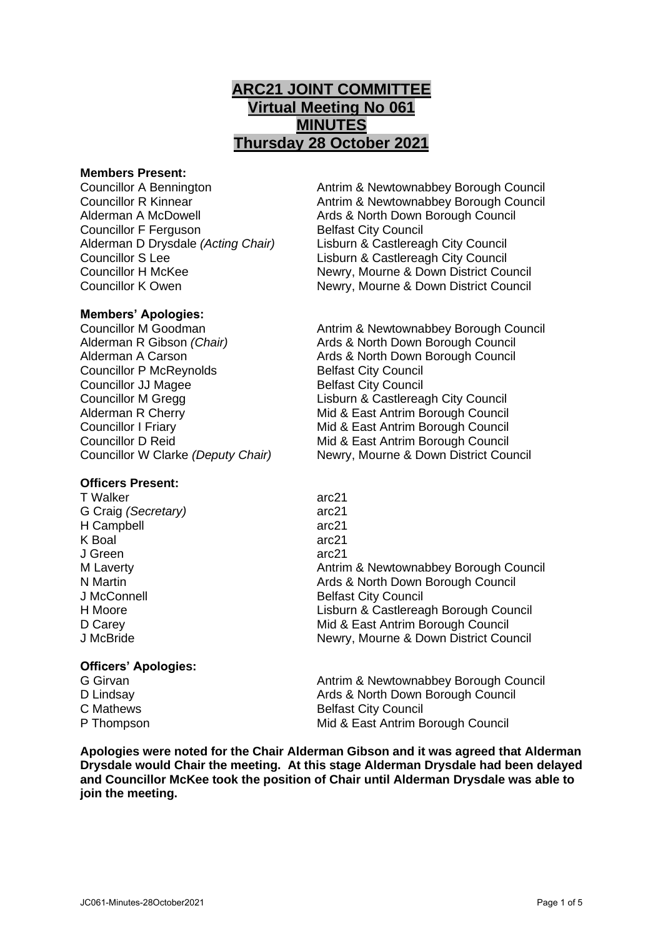# **ARC21 JOINT COMMITTEE Virtual Meeting No 061 MINUTES Thursday 28 October 2021**

### **Members Present:**

Councillor F Ferguson Belfast City Council Alderman D Drysdale *(Acting Chair)* Lisburn & Castlereagh City Council Councillor S Lee Lisburn & Castlereagh City Council

# **Members' Apologies:**

Councillor P McReynolds Belfast City Council **Councillor JJ Magee Belfast City Council** 

# **Officers Present:**

### **Officers' Apologies:**

| G Girvan   | Antrim & Newtownabbey Borough Council |
|------------|---------------------------------------|
| D Lindsay  | Ards & North Down Borough Council     |
| C Mathews  | <b>Belfast City Council</b>           |
| P Thompson | Mid & East Antrim Borough Council     |
|            |                                       |

**Apologies were noted for the Chair Alderman Gibson and it was agreed that Alderman Drysdale would Chair the meeting. At this stage Alderman Drysdale had been delayed and Councillor McKee took the position of Chair until Alderman Drysdale was able to join the meeting.**

Councillor A Bennington Antrim & Newtownabbey Borough Council Councillor R Kinnear **Antrim & Newtownabbey Borough Council** Alderman A McDowell **Ards & North Down Borough Council** Councillor H McKee Newry, Mourne & Down District Council Councillor K Owen Newry, Mourne & Down District Council

Councillor M Goodman Antrim & Newtownabbey Borough Council Alderman R Gibson *(Chair)* Ards & North Down Borough Council Alderman A Carson **Ariga Ards & North Down Borough Council** Councillor M Gregg Lisburn & Castlereagh City Council Alderman R Cherry **Mid & East Antrim Borough Council** Councillor I Friary Mid & East Antrim Borough Council Councillor D Reid **Mid & East Antrim Borough Council** Councillor W Clarke *(Deputy Chair)* Newry, Mourne & Down District Council

| T Walker            | arc21                                 |
|---------------------|---------------------------------------|
| G Craig (Secretary) | arc21                                 |
| <b>H</b> Campbell   | arc21                                 |
| K Boal              | arc21                                 |
| J Green             | arc21                                 |
| M Laverty           | Antrim & Newtownabbey Borough Council |
| N Martin            | Ards & North Down Borough Council     |
| J McConnell         | <b>Belfast City Council</b>           |
| H Moore             | Lisburn & Castlereagh Borough Council |
| D Carey             | Mid & East Antrim Borough Council     |
| J McBride           | Newry, Mourne & Down District Council |
|                     |                                       |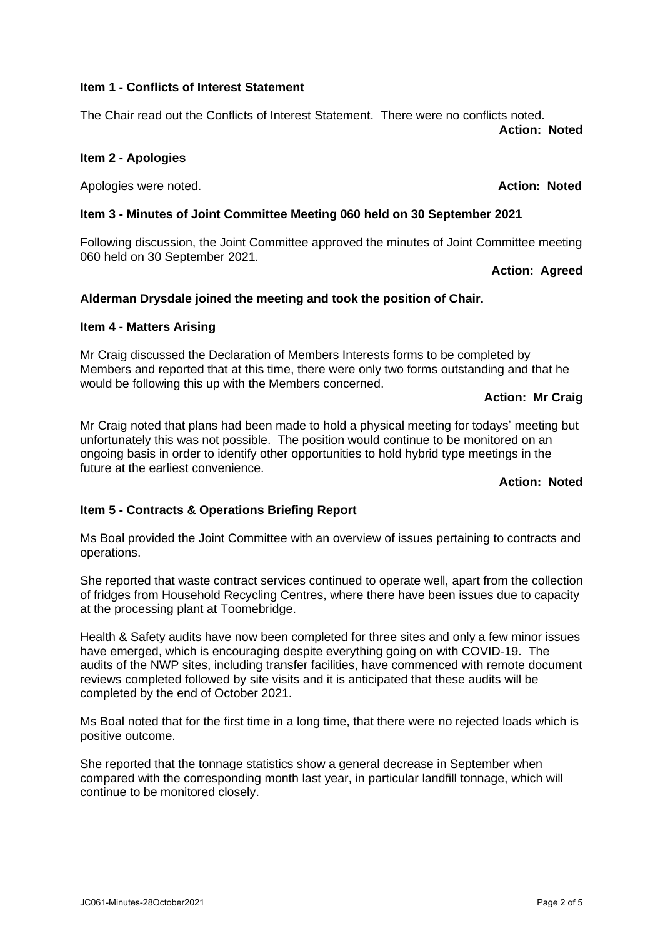### **Item 1 - Conflicts of Interest Statement**

The Chair read out the Conflicts of Interest Statement. There were no conflicts noted. **Action: Noted**

## **Item 2 - Apologies**

Apologies were noted. **Action: Noted**

## **Item 3 - Minutes of Joint Committee Meeting 060 held on 30 September 2021**

Following discussion, the Joint Committee approved the minutes of Joint Committee meeting 060 held on 30 September 2021.

### **Action: Agreed**

## **Alderman Drysdale joined the meeting and took the position of Chair.**

### **Item 4 - Matters Arising**

Mr Craig discussed the Declaration of Members Interests forms to be completed by Members and reported that at this time, there were only two forms outstanding and that he would be following this up with the Members concerned.

#### **Action: Mr Craig**

Mr Craig noted that plans had been made to hold a physical meeting for todays' meeting but unfortunately this was not possible. The position would continue to be monitored on an ongoing basis in order to identify other opportunities to hold hybrid type meetings in the future at the earliest convenience.

# **Action: Noted**

### **Item 5 - Contracts & Operations Briefing Report**

Ms Boal provided the Joint Committee with an overview of issues pertaining to contracts and operations.

She reported that waste contract services continued to operate well, apart from the collection of fridges from Household Recycling Centres, where there have been issues due to capacity at the processing plant at Toomebridge.

Health & Safety audits have now been completed for three sites and only a few minor issues have emerged, which is encouraging despite everything going on with COVID-19. The audits of the NWP sites, including transfer facilities, have commenced with remote document reviews completed followed by site visits and it is anticipated that these audits will be completed by the end of October 2021.

Ms Boal noted that for the first time in a long time, that there were no rejected loads which is positive outcome.

She reported that the tonnage statistics show a general decrease in September when compared with the corresponding month last year, in particular landfill tonnage, which will continue to be monitored closely.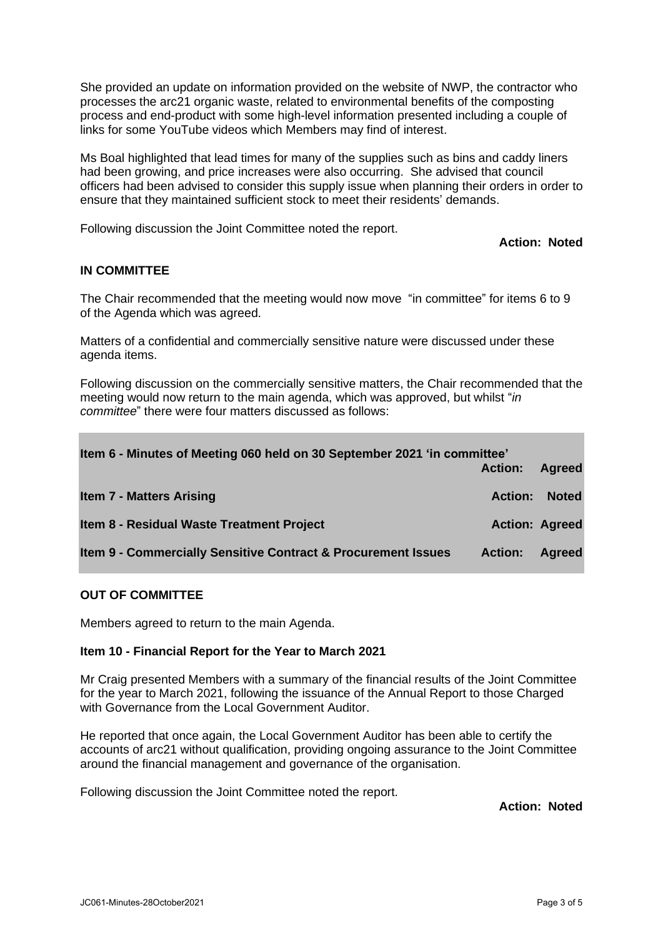She provided an update on information provided on the website of NWP, the contractor who processes the arc21 organic waste, related to environmental benefits of the composting process and end-product with some high-level information presented including a couple of links for some YouTube videos which Members may find of interest.

Ms Boal highlighted that lead times for many of the supplies such as bins and caddy liners had been growing, and price increases were also occurring. She advised that council officers had been advised to consider this supply issue when planning their orders in order to ensure that they maintained sufficient stock to meet their residents' demands.

Following discussion the Joint Committee noted the report.

### **Action: Noted**

### **IN COMMITTEE**

The Chair recommended that the meeting would now move "in committee" for items 6 to 9 of the Agenda which was agreed.

Matters of a confidential and commercially sensitive nature were discussed under these agenda items.

Following discussion on the commercially sensitive matters, the Chair recommended that the meeting would now return to the main agenda, which was approved, but whilst "*in committee*" there were four matters discussed as follows:

| Item 6 - Minutes of Meeting 060 held on 30 September 2021 'in committee' | <b>Action:</b> | <b>Agreed</b>         |
|--------------------------------------------------------------------------|----------------|-----------------------|
| <b>Item 7 - Matters Arising</b>                                          | <b>Action:</b> | <b>Noted</b>          |
| Item 8 - Residual Waste Treatment Project                                |                | <b>Action: Agreed</b> |
| <b>Item 9 - Commercially Sensitive Contract &amp; Procurement Issues</b> | <b>Action:</b> | <b>Agreed</b>         |

### **OUT OF COMMITTEE**

Members agreed to return to the main Agenda.

### **Item 10 - Financial Report for the Year to March 2021**

Mr Craig presented Members with a summary of the financial results of the Joint Committee for the year to March 2021, following the issuance of the Annual Report to those Charged with Governance from the Local Government Auditor.

He reported that once again, the Local Government Auditor has been able to certify the accounts of arc21 without qualification, providing ongoing assurance to the Joint Committee around the financial management and governance of the organisation.

Following discussion the Joint Committee noted the report.

**Action: Noted**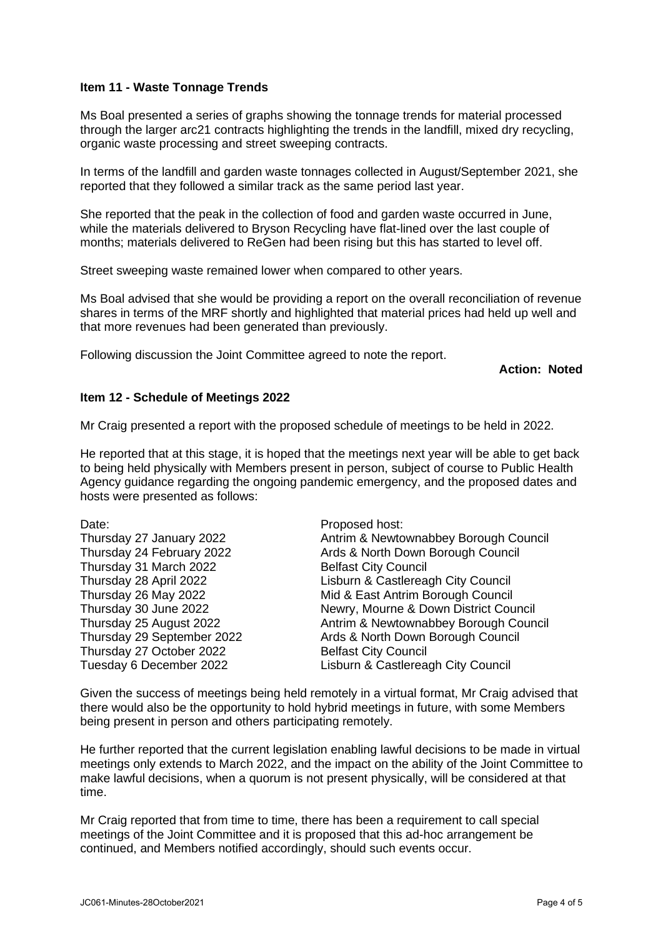## **Item 11 - Waste Tonnage Trends**

Ms Boal presented a series of graphs showing the tonnage trends for material processed through the larger arc21 contracts highlighting the trends in the landfill, mixed dry recycling, organic waste processing and street sweeping contracts.

In terms of the landfill and garden waste tonnages collected in August/September 2021, she reported that they followed a similar track as the same period last year.

She reported that the peak in the collection of food and garden waste occurred in June, while the materials delivered to Bryson Recycling have flat-lined over the last couple of months; materials delivered to ReGen had been rising but this has started to level off.

Street sweeping waste remained lower when compared to other years.

Ms Boal advised that she would be providing a report on the overall reconciliation of revenue shares in terms of the MRF shortly and highlighted that material prices had held up well and that more revenues had been generated than previously.

Following discussion the Joint Committee agreed to note the report.

### **Action: Noted**

## **Item 12 - Schedule of Meetings 2022**

Mr Craig presented a report with the proposed schedule of meetings to be held in 2022.

He reported that at this stage, it is hoped that the meetings next year will be able to get back to being held physically with Members present in person, subject of course to Public Health Agency guidance regarding the ongoing pandemic emergency, and the proposed dates and hosts were presented as follows:

| Thursday 27 January 2022   |
|----------------------------|
| Thursday 24 February 2022  |
| Thursday 31 March 2022     |
| Thursday 28 April 2022     |
| Thursday 26 May 2022       |
| Thursday 30 June 2022      |
| Thursday 25 August 2022    |
| Thursday 29 September 2022 |
| Thursday 27 October 2022   |
| Tuesday 6 December 2022    |

Date: Proposed host: Antrim & Newtownabbey Borough Council Ards & North Down Borough Council **Belfast City Council** Lisburn & Castlereagh City Council Mid & East Antrim Borough Council Newry, Mourne & Down District Council Antrim & Newtownabbey Borough Council Ards & North Down Borough Council Belfast City Council Lisburn & Castlereagh City Council

Given the success of meetings being held remotely in a virtual format, Mr Craig advised that there would also be the opportunity to hold hybrid meetings in future, with some Members being present in person and others participating remotely.

He further reported that the current legislation enabling lawful decisions to be made in virtual meetings only extends to March 2022, and the impact on the ability of the Joint Committee to make lawful decisions, when a quorum is not present physically, will be considered at that time.

Mr Craig reported that from time to time, there has been a requirement to call special meetings of the Joint Committee and it is proposed that this ad-hoc arrangement be continued, and Members notified accordingly, should such events occur.